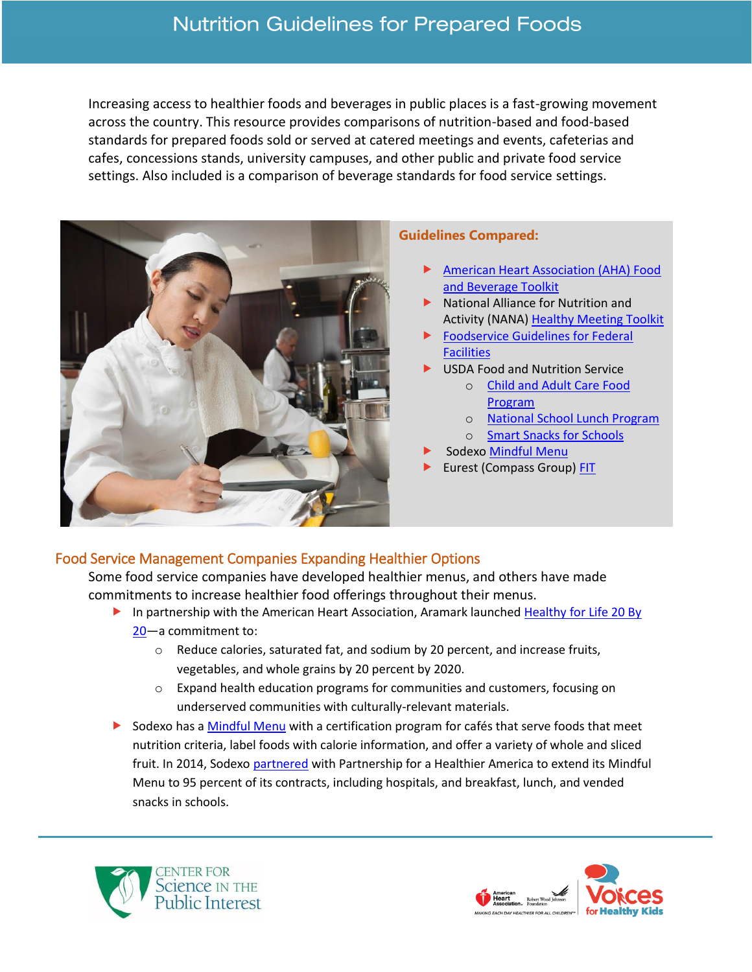# **Nutrition Guidelines for Prepared Foods**

Increasing access to healthier foods and beverages in public places is a fast-growing movement across the country. This resource provides comparisons of nutrition-based and food-based standards for prepared foods sold or served at catered meetings and events, cafeterias and cafes, concessions stands, university campuses, and other public and private food service settings. Also included is a comparison of beverage standards for food service settings.



#### **Guidelines Compared:**

- [American Heart Association \(AHA\) Food](http://www.heart.org/idc/groups/heart-public/@wcm/@fc/documents/downloadable/ucm_465693.pdf)  [and Beverage Toolkit](http://www.heart.org/idc/groups/heart-public/@wcm/@fc/documents/downloadable/ucm_465693.pdf)
- **National Alliance for Nutrition and** Activity (NANA) [Healthy Meeting Toolkit](https://cspinet.org/sites/default/files/attachment/Final%20Healthy%20Meeting%20Toolkit.pdf)
- [Foodservice Guidelines for Federal](https://www.cdc.gov/obesity/downloads/guidelines_for_federal_concessions_and_vending_operations.pdf)  **[Facilities](https://www.cdc.gov/obesity/downloads/guidelines_for_federal_concessions_and_vending_operations.pdf)**
- USDA Food and Nutrition Service
	- o [Child and Adult Care Food](https://www.fns.usda.gov/cacfp/meals-and-snacks)  [Program](https://www.fns.usda.gov/cacfp/meals-and-snacks)
	- o [National School Lunch Program](https://www.fns.usda.gov/school-meals/nutrition-standards-school-meals)
	- o [Smart Snacks for Schools](https://www.fns.usda.gov/sites/default/files/tn/USDASmartSnacks.pdf)
- Sodex[o Mindful Menu](https://www.mindful.sodexo.com/why-mindful)
- Eurest (Compass Group[\) FIT](http://balanceittakesyou.com/pages/content.aspx?ItemID=43)

### Food Service Management Companies Expanding Healthier Options

Some food service companies have developed healthier menus, and others have made commitments to increase healthier food offerings throughout their menus.

- In partnership with the American Heart Association, Aramark launched Healthy for Life 20 By [20](http://www.aramark.com/~/media/Landing%20Pages%20files/20-By-20-Commitments-Fact-Sheet.ashx?la=en)—a commitment to:
	- $\circ$  Reduce calories, saturated fat, and sodium by 20 percent, and increase fruits, vegetables, and whole grains by 20 percent by 2020.
	- $\circ$  Expand health education programs for communities and customers, focusing on underserved communities with culturally-relevant materials.
- Sodexo has [a Mindful Menu](https://www.mindful.sodexo.com/why-mindful) with a certification program for cafés that serve foods that meet nutrition criteria, label foods with calorie information, and offer a variety of whole and sliced fruit. In 2014, Sodexo [partnered](https://www.ahealthieramerica.org/our-partners/sodexo-140) with Partnership for a Healthier America to extend its Mindful Menu to 95 percent of its contracts, including hospitals, and breakfast, lunch, and vended snacks in schools.



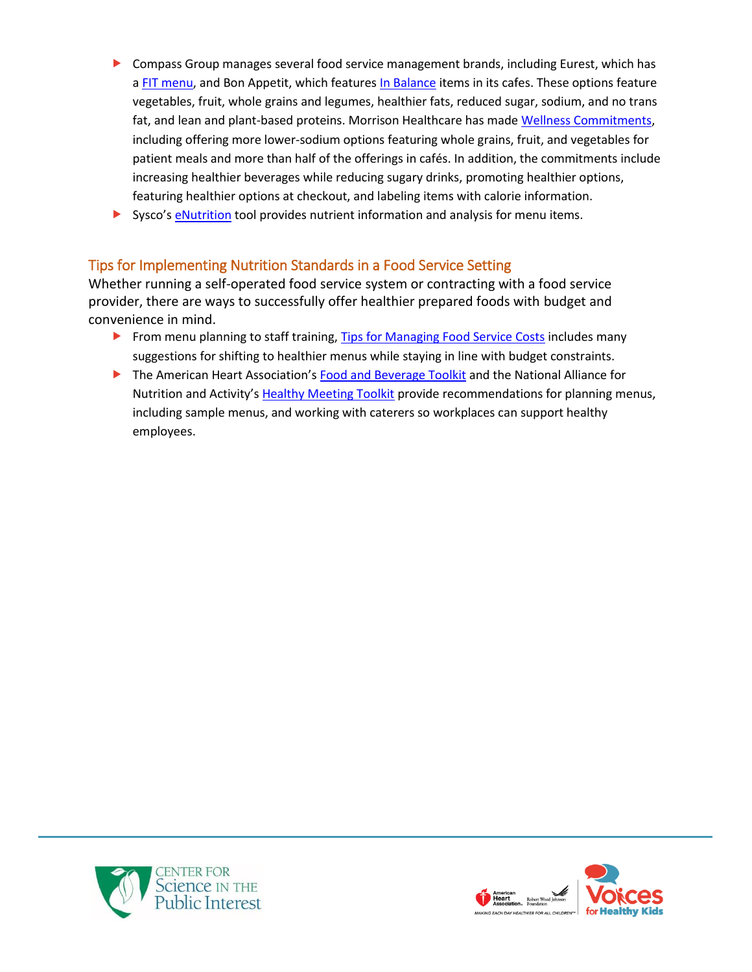- Compass Group manages several food service management brands, including Eurest, which has a [FIT menu,](http://balanceittakesyou.com/pages/content.aspx?ItemID=43) and Bon Appetit, which features [In Balance](http://www.bamco.com/cooking/nutrition/) items in its cafes. These options feature vegetables, fruit, whole grains and legumes, healthier fats, reduced sugar, sodium, and no trans fat, and lean and plant-based proteins. Morrison Healthcare has mad[e Wellness Commitments,](http://www.morrisonhealthcare.com/wp-content/uploads/2016/02/16-296.-Wellness-Commitments_R5.pdf) including offering more lower-sodium options featuring whole grains, fruit, and vegetables for patient meals and more than half of the offerings in cafés. In addition, the commitments include increasing healthier beverages while reducing sugary drinks, promoting healthier options, featuring healthier options at checkout, and labeling items with calorie information.
- Sysco's [eNutrition](http://www.sysco.com/customer-solutions/enutrition-info.html) tool provides nutrient information and analysis for menu items.

### Tips for Implementing Nutrition Standards in a Food Service Setting

Whether running a self-operated food service system or contracting with a food service provider, there are ways to successfully offer healthier prepared foods with budget and convenience in mind.

- From menu planning to staff training[, Tips for Managing Food Service Costs](https://cspinet.org/sites/default/files/attachment/tips%20food%20service.pdf) includes many suggestions for shifting to healthier menus while staying in line with budget constraints.
- The American Heart Association's [Food and Beverage Toolkit](http://www.heart.org/idc/groups/heart-public/@wcm/@fc/documents/downloadable/ucm_465693.pdf) and the National Alliance for Nutrition and Activity's [Healthy Meeting Toolkit](https://cspinet.org/sites/default/files/attachment/Final%20Healthy%20Meeting%20Toolkit.pdf) provide recommendations for planning menus, including sample menus, and working with caterers so workplaces can support healthy employees.



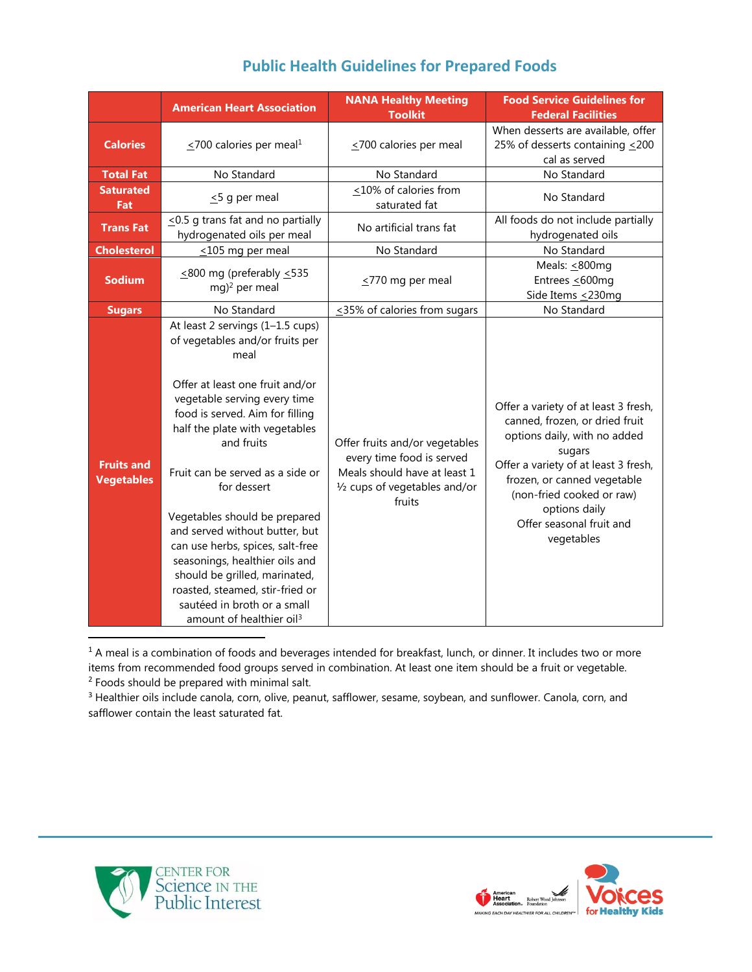|                                        | <b>American Heart Association</b>                                                                                                                                                                                                                                                                                                                                                                                                                                                                                                                                        | <b>NANA Healthy Meeting</b><br><b>Toolkit</b>                                                                                          | <b>Food Service Guidelines for</b><br><b>Federal Facilities</b>                                                                                                                                                                                                                 |
|----------------------------------------|--------------------------------------------------------------------------------------------------------------------------------------------------------------------------------------------------------------------------------------------------------------------------------------------------------------------------------------------------------------------------------------------------------------------------------------------------------------------------------------------------------------------------------------------------------------------------|----------------------------------------------------------------------------------------------------------------------------------------|---------------------------------------------------------------------------------------------------------------------------------------------------------------------------------------------------------------------------------------------------------------------------------|
| <b>Calories</b>                        | $\leq$ 700 calories per meal <sup>1</sup>                                                                                                                                                                                                                                                                                                                                                                                                                                                                                                                                | $\leq$ 700 calories per meal                                                                                                           | When desserts are available, offer<br>25% of desserts containing <200<br>cal as served                                                                                                                                                                                          |
| <b>Total Fat</b>                       | No Standard                                                                                                                                                                                                                                                                                                                                                                                                                                                                                                                                                              | No Standard                                                                                                                            | No Standard                                                                                                                                                                                                                                                                     |
| <b>Saturated</b><br>Fat                | $\leq$ 5 g per meal                                                                                                                                                                                                                                                                                                                                                                                                                                                                                                                                                      | <10% of calories from<br>saturated fat                                                                                                 | No Standard                                                                                                                                                                                                                                                                     |
| <b>Trans Fat</b>                       | $\leq$ 0.5 g trans fat and no partially<br>hydrogenated oils per meal                                                                                                                                                                                                                                                                                                                                                                                                                                                                                                    | No artificial trans fat                                                                                                                | All foods do not include partially<br>hydrogenated oils                                                                                                                                                                                                                         |
| <b>Cholesterol</b>                     | $\leq$ 105 mg per meal                                                                                                                                                                                                                                                                                                                                                                                                                                                                                                                                                   | No Standard                                                                                                                            | No Standard                                                                                                                                                                                                                                                                     |
| <b>Sodium</b>                          | $\leq$ 800 mg (preferably $\leq$ 535<br>mg) <sup>2</sup> per meal                                                                                                                                                                                                                                                                                                                                                                                                                                                                                                        | $\leq$ 770 mg per meal                                                                                                                 | Meals: $\leq$ 800mg<br>Entrees <600mg<br>Side Items <230mg                                                                                                                                                                                                                      |
| <b>Sugars</b>                          | No Standard                                                                                                                                                                                                                                                                                                                                                                                                                                                                                                                                                              | $\leq$ 35% of calories from sugars                                                                                                     | No Standard                                                                                                                                                                                                                                                                     |
| <b>Fruits and</b><br><b>Vegetables</b> | At least 2 servings (1-1.5 cups)<br>of vegetables and/or fruits per<br>meal<br>Offer at least one fruit and/or<br>vegetable serving every time<br>food is served. Aim for filling<br>half the plate with vegetables<br>and fruits<br>Fruit can be served as a side or<br>for dessert<br>Vegetables should be prepared<br>and served without butter, but<br>can use herbs, spices, salt-free<br>seasonings, healthier oils and<br>should be grilled, marinated,<br>roasted, steamed, stir-fried or<br>sautéed in broth or a small<br>amount of healthier oil <sup>3</sup> | Offer fruits and/or vegetables<br>every time food is served<br>Meals should have at least 1<br>1/2 cups of vegetables and/or<br>fruits | Offer a variety of at least 3 fresh,<br>canned, frozen, or dried fruit<br>options daily, with no added<br>sugars<br>Offer a variety of at least 3 fresh,<br>frozen, or canned vegetable<br>(non-fried cooked or raw)<br>options daily<br>Offer seasonal fruit and<br>vegetables |

## **Public Health Guidelines for Prepared Foods**

 $1$  A meal is a combination of foods and beverages intended for breakfast, lunch, or dinner. It includes two or more items from recommended food groups served in combination. At least one item should be a fruit or vegetable. <sup>2</sup> Foods should be prepared with minimal salt.

<sup>3</sup> Healthier oils include canola, corn, olive, peanut, safflower, sesame, soybean, and sunflower. Canola, corn, and safflower contain the least saturated fat.



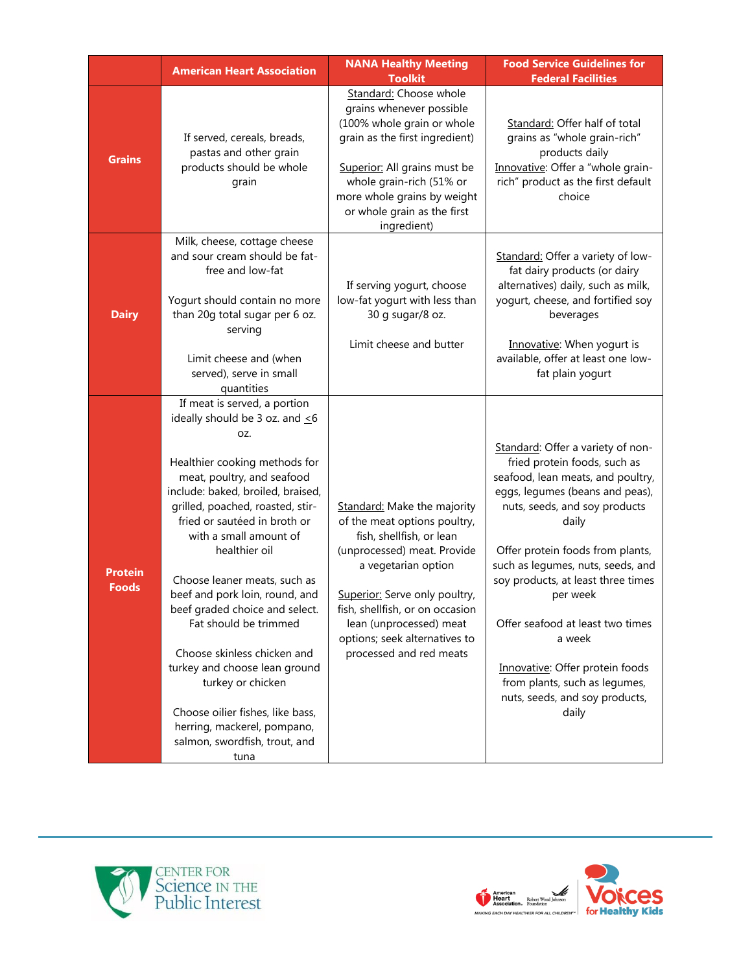|                                | <b>American Heart Association</b>                                                                                                                                                                                                                                                                                                                                                                                                                                                                                                                                                                                            | <b>NANA Healthy Meeting</b><br><b>Toolkit</b>                                                                                                                                                                                                                                                            | <b>Food Service Guidelines for</b><br><b>Federal Facilities</b>                                                                                                                                                                                                                                                                                                                                                                                                             |
|--------------------------------|------------------------------------------------------------------------------------------------------------------------------------------------------------------------------------------------------------------------------------------------------------------------------------------------------------------------------------------------------------------------------------------------------------------------------------------------------------------------------------------------------------------------------------------------------------------------------------------------------------------------------|----------------------------------------------------------------------------------------------------------------------------------------------------------------------------------------------------------------------------------------------------------------------------------------------------------|-----------------------------------------------------------------------------------------------------------------------------------------------------------------------------------------------------------------------------------------------------------------------------------------------------------------------------------------------------------------------------------------------------------------------------------------------------------------------------|
| <b>Grains</b>                  | If served, cereals, breads,<br>pastas and other grain<br>products should be whole<br>grain                                                                                                                                                                                                                                                                                                                                                                                                                                                                                                                                   | Standard: Choose whole<br>grains whenever possible<br>(100% whole grain or whole<br>grain as the first ingredient)<br>Superior: All grains must be<br>whole grain-rich (51% or<br>more whole grains by weight<br>or whole grain as the first<br>ingredient)                                              | Standard: Offer half of total<br>grains as "whole grain-rich"<br>products daily<br>Innovative: Offer a "whole grain-<br>rich" product as the first default<br>choice                                                                                                                                                                                                                                                                                                        |
| <b>Dairy</b>                   | Milk, cheese, cottage cheese<br>and sour cream should be fat-<br>free and low-fat<br>Yogurt should contain no more<br>than 20g total sugar per 6 oz.<br>serving<br>Limit cheese and (when<br>served), serve in small<br>quantities                                                                                                                                                                                                                                                                                                                                                                                           | If serving yogurt, choose<br>low-fat yogurt with less than<br>30 g sugar/8 oz.<br>Limit cheese and butter                                                                                                                                                                                                | Standard: Offer a variety of low-<br>fat dairy products (or dairy<br>alternatives) daily, such as milk,<br>yogurt, cheese, and fortified soy<br>beverages<br>Innovative: When yogurt is<br>available, offer at least one low-<br>fat plain yogurt                                                                                                                                                                                                                           |
| <b>Protein</b><br><b>Foods</b> | If meat is served, a portion<br>ideally should be 3 oz. and $\leq 6$<br>OZ.<br>Healthier cooking methods for<br>meat, poultry, and seafood<br>include: baked, broiled, braised,<br>grilled, poached, roasted, stir-<br>fried or sautéed in broth or<br>with a small amount of<br>healthier oil<br>Choose leaner meats, such as<br>beef and pork loin, round, and<br>beef graded choice and select.<br>Fat should be trimmed<br>Choose skinless chicken and<br>turkey and choose lean ground<br>turkey or chicken<br>Choose oilier fishes, like bass,<br>herring, mackerel, pompano,<br>salmon, swordfish, trout, and<br>tuna | Standard: Make the majority<br>of the meat options poultry,<br>fish, shellfish, or lean<br>(unprocessed) meat. Provide<br>a vegetarian option<br>Superior: Serve only poultry,<br>fish, shellfish, or on occasion<br>lean (unprocessed) meat<br>options; seek alternatives to<br>processed and red meats | Standard: Offer a variety of non-<br>fried protein foods, such as<br>seafood, lean meats, and poultry,<br>eggs, legumes (beans and peas),<br>nuts, seeds, and soy products<br>daily<br>Offer protein foods from plants,<br>such as legumes, nuts, seeds, and<br>soy products, at least three times<br>per week<br>Offer seafood at least two times<br>a week<br>Innovative: Offer protein foods<br>from plants, such as legumes,<br>nuts, seeds, and soy products,<br>daily |



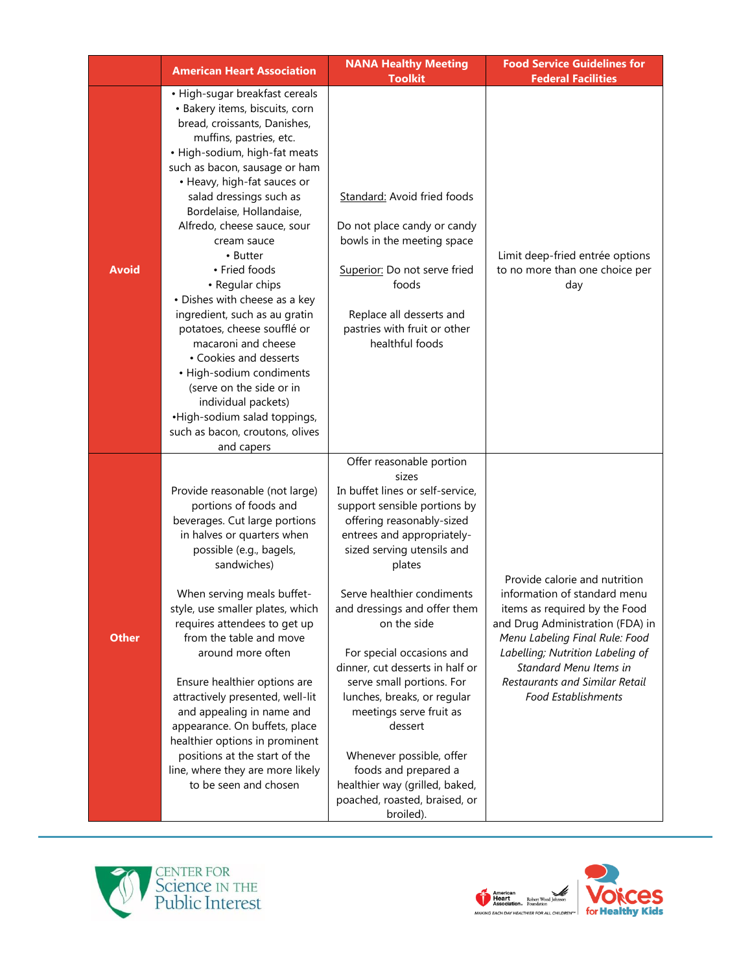|              | <b>American Heart Association</b>                                                                                                                                                                                                                                                                                                                                                                                                                                                                                                                                                                                                                                                                   | <b>NANA Healthy Meeting</b>                                                                                                                                                                                                                                                                                                                                                                                                                                                                                                                                                                 | <b>Food Service Guidelines for</b>                                                                                                                                                                                                                                                                 |
|--------------|-----------------------------------------------------------------------------------------------------------------------------------------------------------------------------------------------------------------------------------------------------------------------------------------------------------------------------------------------------------------------------------------------------------------------------------------------------------------------------------------------------------------------------------------------------------------------------------------------------------------------------------------------------------------------------------------------------|---------------------------------------------------------------------------------------------------------------------------------------------------------------------------------------------------------------------------------------------------------------------------------------------------------------------------------------------------------------------------------------------------------------------------------------------------------------------------------------------------------------------------------------------------------------------------------------------|----------------------------------------------------------------------------------------------------------------------------------------------------------------------------------------------------------------------------------------------------------------------------------------------------|
|              |                                                                                                                                                                                                                                                                                                                                                                                                                                                                                                                                                                                                                                                                                                     | <b>Toolkit</b>                                                                                                                                                                                                                                                                                                                                                                                                                                                                                                                                                                              | <b>Federal Facilities</b>                                                                                                                                                                                                                                                                          |
| <b>Avoid</b> | • High-sugar breakfast cereals<br>• Bakery items, biscuits, corn<br>bread, croissants, Danishes,<br>muffins, pastries, etc.<br>• High-sodium, high-fat meats<br>such as bacon, sausage or ham<br>• Heavy, high-fat sauces or<br>salad dressings such as<br>Bordelaise, Hollandaise,<br>Alfredo, cheese sauce, sour<br>cream sauce<br>• Butter<br>• Fried foods<br>• Regular chips<br>• Dishes with cheese as a key<br>ingredient, such as au gratin<br>potatoes, cheese soufflé or<br>macaroni and cheese<br>• Cookies and desserts<br>• High-sodium condiments<br>(serve on the side or in<br>individual packets)<br>•High-sodium salad toppings,<br>such as bacon, croutons, olives<br>and capers | <b>Standard:</b> Avoid fried foods<br>Do not place candy or candy<br>bowls in the meeting space<br>Superior: Do not serve fried<br>foods<br>Replace all desserts and<br>pastries with fruit or other<br>healthful foods                                                                                                                                                                                                                                                                                                                                                                     | Limit deep-fried entrée options<br>to no more than one choice per<br>day                                                                                                                                                                                                                           |
| <b>Other</b> | Provide reasonable (not large)<br>portions of foods and<br>beverages. Cut large portions<br>in halves or quarters when<br>possible (e.g., bagels,<br>sandwiches)<br>When serving meals buffet-<br>style, use smaller plates, which<br>requires attendees to get up<br>from the table and move<br>around more often<br>Ensure healthier options are<br>attractively presented, well-lit<br>and appealing in name and<br>appearance. On buffets, place<br>healthier options in prominent<br>positions at the start of the<br>line, where they are more likely<br>to be seen and chosen                                                                                                                | Offer reasonable portion<br>sizes<br>In buffet lines or self-service,<br>support sensible portions by<br>offering reasonably-sized<br>entrees and appropriately-<br>sized serving utensils and<br>plates<br>Serve healthier condiments<br>and dressings and offer them<br>on the side<br>For special occasions and<br>dinner, cut desserts in half or<br>serve small portions. For<br>lunches, breaks, or regular<br>meetings serve fruit as<br>dessert<br>Whenever possible, offer<br>foods and prepared a<br>healthier way (grilled, baked,<br>poached, roasted, braised, or<br>broiled). | Provide calorie and nutrition<br>information of standard menu<br>items as required by the Food<br>and Drug Administration (FDA) in<br>Menu Labeling Final Rule: Food<br>Labelling; Nutrition Labeling of<br>Standard Menu Items in<br>Restaurants and Similar Retail<br><b>Food Establishments</b> |



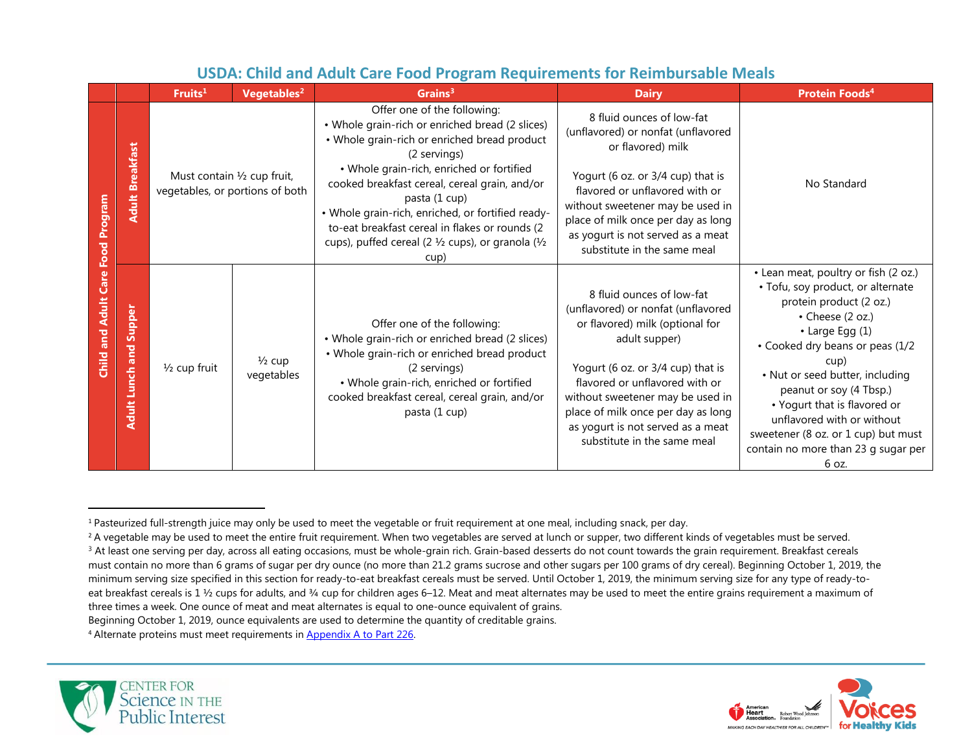|                             |                                  | Fruits <sup>1</sup>     | Vegetables <sup>2</sup>                                        | Grains <sup>3</sup>                                                                                                                                                                                                                                           | <b>Dairy</b>                                                                                                                                                                                                                                                                                                                             | <b>Protein Foods4</b>                                                                                                                                                                                                                                                                                                                                                                                     |
|-----------------------------|----------------------------------|-------------------------|----------------------------------------------------------------|---------------------------------------------------------------------------------------------------------------------------------------------------------------------------------------------------------------------------------------------------------------|------------------------------------------------------------------------------------------------------------------------------------------------------------------------------------------------------------------------------------------------------------------------------------------------------------------------------------------|-----------------------------------------------------------------------------------------------------------------------------------------------------------------------------------------------------------------------------------------------------------------------------------------------------------------------------------------------------------------------------------------------------------|
| Food Program                | <b>Adult Breakfast</b>           |                         | Must contain 1/2 cup fruit,<br>vegetables, or portions of both | Offer one of the following:<br>• Whole grain-rich or enriched bread (2 slices)<br>• Whole grain-rich or enriched bread product<br>(2 servings)<br>· Whole grain-rich, enriched or fortified<br>cooked breakfast cereal, cereal grain, and/or<br>pasta (1 cup) | 8 fluid ounces of low-fat<br>(unflavored) or nonfat (unflavored<br>or flavored) milk<br>Yogurt (6 oz. or 3/4 cup) that is<br>flavored or unflavored with or                                                                                                                                                                              | No Standard                                                                                                                                                                                                                                                                                                                                                                                               |
|                             |                                  |                         |                                                                | • Whole grain-rich, enriched, or fortified ready-<br>to-eat breakfast cereal in flakes or rounds (2<br>cups), puffed cereal (2 1/2 cups), or granola (1/2<br>cup)                                                                                             | without sweetener may be used in<br>place of milk once per day as long<br>as yogurt is not served as a meat<br>substitute in the same meal                                                                                                                                                                                               |                                                                                                                                                                                                                                                                                                                                                                                                           |
| <b>Child and Adult Care</b> | and Supper<br><b>Adult Lunch</b> | $\frac{1}{2}$ cup fruit | $\frac{1}{2}$ cup<br>vegetables                                | Offer one of the following:<br>• Whole grain-rich or enriched bread (2 slices)<br>• Whole grain-rich or enriched bread product<br>(2 servings)<br>· Whole grain-rich, enriched or fortified<br>cooked breakfast cereal, cereal grain, and/or<br>pasta (1 cup) | 8 fluid ounces of low-fat<br>(unflavored) or nonfat (unflavored<br>or flavored) milk (optional for<br>adult supper)<br>Yogurt (6 oz. or 3/4 cup) that is<br>flavored or unflavored with or<br>without sweetener may be used in<br>place of milk once per day as long<br>as yogurt is not served as a meat<br>substitute in the same meal | • Lean meat, poultry or fish (2 oz.)<br>• Tofu, soy product, or alternate<br>protein product (2 oz.)<br>• Cheese (2 oz.)<br>• Large Egg (1)<br>• Cooked dry beans or peas (1/2<br>cup)<br>• Nut or seed butter, including<br>peanut or soy (4 Tbsp.)<br>• Yogurt that is flavored or<br>unflavored with or without<br>sweetener (8 oz. or 1 cup) but must<br>contain no more than 23 g sugar per<br>6 oz. |

## **USDA: Child and Adult Care Food Program Requirements for Reimbursable Meals**

<sup>4</sup> Alternate proteins must meet requirements in [Appendix A to Part 226.](https://www.ecfr.gov/cgi-bin/text-idx?SID=9c3a6681dbf6aada3632967c4bfeb030&mc=true&node=pt7.4.226&rgn=div5#ap7.4.226_127.a)





<sup>1</sup> Pasteurized full-strength juice may only be used to meet the vegetable or fruit requirement at one meal, including snack, per day.

<sup>&</sup>lt;sup>2</sup> A vegetable may be used to meet the entire fruit requirement. When two vegetables are served at lunch or supper, two different kinds of vegetables must be served.

<sup>&</sup>lt;sup>3</sup> At least one serving per day, across all eating occasions, must be whole-grain rich. Grain-based desserts do not count towards the grain requirement. Breakfast cereals must contain no more than 6 grams of sugar per dry ounce (no more than 21.2 grams sucrose and other sugars per 100 grams of dry cereal). Beginning October 1, 2019, the minimum serving size specified in this section for ready-to-eat breakfast cereals must be served. Until October 1, 2019, the minimum serving size for any type of ready-toeat breakfast cereals is 1 1/2 cups for adults, and 3/4 cup for children ages 6-12. Meat and meat alternates may be used to meet the entire grains requirement a maximum of three times a week. One ounce of meat and meat alternates is equal to one-ounce equivalent of grains.

Beginning October 1, 2019, ounce equivalents are used to determine the quantity of creditable grains.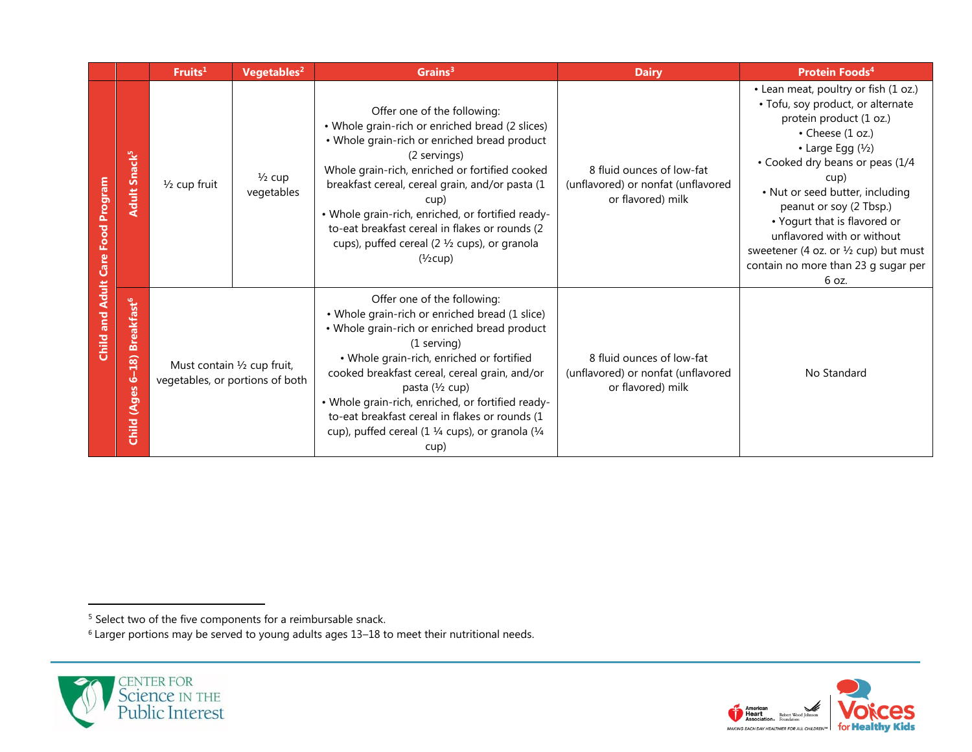|                                          |                                                                    | Fruits <sup>1</sup>                                                                                                          | Vegetables <sup>2</sup> | Grains <sup>3</sup>                                                                                                                                                                                                                                                                                                                                                                                                                                    | <b>Dairy</b>                                                                         | <b>Protein Foods<sup>4</sup></b>                                                                                                                                                                                                                                                                                                                                                                                        |
|------------------------------------------|--------------------------------------------------------------------|------------------------------------------------------------------------------------------------------------------------------|-------------------------|--------------------------------------------------------------------------------------------------------------------------------------------------------------------------------------------------------------------------------------------------------------------------------------------------------------------------------------------------------------------------------------------------------------------------------------------------------|--------------------------------------------------------------------------------------|-------------------------------------------------------------------------------------------------------------------------------------------------------------------------------------------------------------------------------------------------------------------------------------------------------------------------------------------------------------------------------------------------------------------------|
| <b>Child and Adult Care Food Program</b> | <b>Adult Snack<sup>5</sup></b>                                     | $\frac{1}{2}$ cup<br>$\frac{1}{2}$ cup fruit<br>vegetables<br>Must contain 1/2 cup fruit,<br>vegetables, or portions of both |                         | Offer one of the following:<br>• Whole grain-rich or enriched bread (2 slices)<br>• Whole grain-rich or enriched bread product<br>(2 servings)<br>Whole grain-rich, enriched or fortified cooked<br>breakfast cereal, cereal grain, and/or pasta (1<br>cup)<br>• Whole grain-rich, enriched, or fortified ready-<br>to-eat breakfast cereal in flakes or rounds (2<br>cups), puffed cereal (2 1/2 cups), or granola<br>$(\frac{1}{2}cup)$              | 8 fluid ounces of low-fat<br>(unflavored) or nonfat (unflavored<br>or flavored) milk | • Lean meat, poultry or fish (1 oz.)<br>• Tofu, soy product, or alternate<br>protein product (1 oz.)<br>• Cheese (1 oz.)<br>• Large Egg $(\frac{1}{2})$<br>• Cooked dry beans or peas (1/4<br>cup)<br>• Nut or seed butter, including<br>peanut or soy (2 Tbsp.)<br>• Yogurt that is flavored or<br>unflavored with or without<br>sweetener (4 oz. or 1/2 cup) but must<br>contain no more than 23 g sugar per<br>6 oz. |
|                                          | <b>Breakfast<sup>6</sup></b><br>18)<br>۱Ò<br>(Ages<br><b>Child</b> |                                                                                                                              |                         | Offer one of the following:<br>• Whole grain-rich or enriched bread (1 slice)<br>• Whole grain-rich or enriched bread product<br>(1 serving)<br>• Whole grain-rich, enriched or fortified<br>cooked breakfast cereal, cereal grain, and/or<br>pasta (1/2 cup)<br>• Whole grain-rich, enriched, or fortified ready-<br>to-eat breakfast cereal in flakes or rounds (1<br>cup), puffed cereal (1 $\frac{1}{4}$ cups), or granola ( $\frac{1}{4}$<br>cup) | 8 fluid ounces of low-fat<br>(unflavored) or nonfat (unflavored<br>or flavored) milk | No Standard                                                                                                                                                                                                                                                                                                                                                                                                             |

<sup>6</sup> Larger portions may be served to young adults ages 13–18 to meet their nutritional needs.





<sup>&</sup>lt;sup>5</sup> Select two of the five components for a reimbursable snack.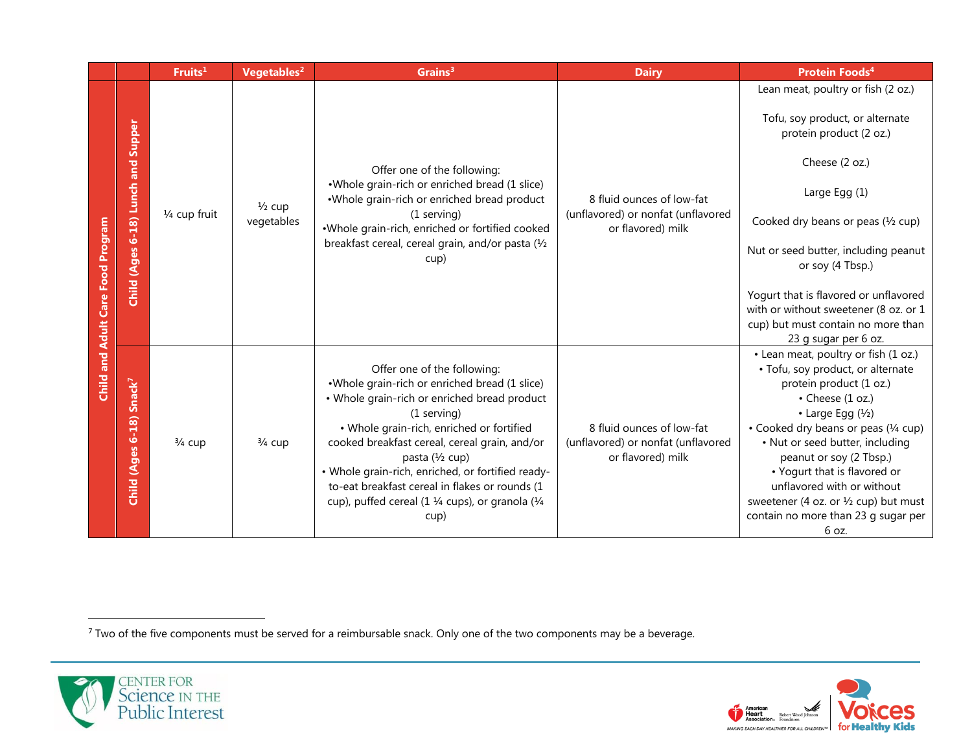|                                          |                                      | Fruits <sup>1</sup> | Vegetables <sup>2</sup>         | Grains <sup>3</sup>                                                                                                                                                                                                                                                                                                                                                                                                              | <b>Dairy</b>                                                                         | <b>Protein Foods4</b>                                                                                                                                                                                                                                                                                                                                                                                                                                |
|------------------------------------------|--------------------------------------|---------------------|---------------------------------|----------------------------------------------------------------------------------------------------------------------------------------------------------------------------------------------------------------------------------------------------------------------------------------------------------------------------------------------------------------------------------------------------------------------------------|--------------------------------------------------------------------------------------|------------------------------------------------------------------------------------------------------------------------------------------------------------------------------------------------------------------------------------------------------------------------------------------------------------------------------------------------------------------------------------------------------------------------------------------------------|
|                                          |                                      |                     |                                 |                                                                                                                                                                                                                                                                                                                                                                                                                                  |                                                                                      | Lean meat, poultry or fish (2 oz.)<br>Tofu, soy product, or alternate                                                                                                                                                                                                                                                                                                                                                                                |
| <b>Child and Adult Care Food Program</b> | Child (Ages 6-18) Lunch and Supper   | 1/4 cup fruit       | $\frac{1}{2}$ cup<br>vegetables | Offer one of the following:<br>•Whole grain-rich or enriched bread (1 slice)<br>.Whole grain-rich or enriched bread product<br>(1 serving)<br>.Whole grain-rich, enriched or fortified cooked<br>breakfast cereal, cereal grain, and/or pasta (1/2<br>cup)                                                                                                                                                                       | 8 fluid ounces of low-fat<br>(unflavored) or nonfat (unflavored<br>or flavored) milk | protein product (2 oz.)<br>Cheese (2 oz.)<br>Large Egg (1)<br>Cooked dry beans or peas $(1/2$ cup)<br>Nut or seed butter, including peanut<br>or soy (4 Tbsp.)<br>Yogurt that is flavored or unflavored<br>with or without sweetener (8 oz. or 1<br>cup) but must contain no more than                                                                                                                                                               |
|                                          | Child (Ages 6-18) Snack <sup>7</sup> | $\frac{3}{4}$ cup   | $3/4$ cup                       | Offer one of the following:<br>•Whole grain-rich or enriched bread (1 slice)<br>• Whole grain-rich or enriched bread product<br>(1 serving)<br>· Whole grain-rich, enriched or fortified<br>cooked breakfast cereal, cereal grain, and/or<br>pasta (1/2 cup)<br>• Whole grain-rich, enriched, or fortified ready-<br>to-eat breakfast cereal in flakes or rounds (1<br>cup), puffed cereal (1 1/4 cups), or granola (1/4<br>cup) | 8 fluid ounces of low-fat<br>(unflavored) or nonfat (unflavored<br>or flavored) milk | 23 g sugar per 6 oz.<br>• Lean meat, poultry or fish (1 oz.)<br>• Tofu, soy product, or alternate<br>protein product (1 oz.)<br>• Cheese (1 oz.)<br>$\cdot$ Large Egg ( $\frac{1}{2}$ )<br>• Cooked dry beans or peas (1/4 cup)<br>• Nut or seed butter, including<br>peanut or soy (2 Tbsp.)<br>• Yogurt that is flavored or<br>unflavored with or without<br>sweetener (4 oz. or 1/2 cup) but must<br>contain no more than 23 g sugar per<br>6 oz. |

 $7$  Two of the five components must be served for a reimbursable snack. Only one of the two components may be a beverage.



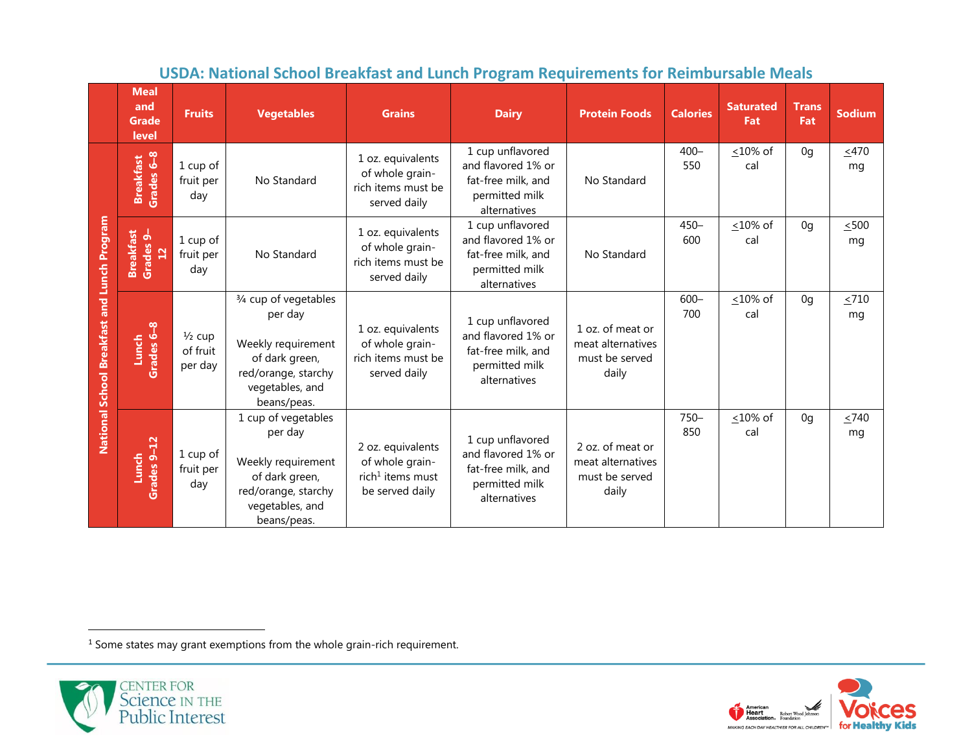|                                             | <b>Meal</b><br>and<br><b>Grade</b><br>level                         | <b>Fruits</b>                            | <b>Vegetables</b>                                                                                                                 | <b>Grains</b>                                                                           | <b>Dairy</b>                                                                                   | <b>Protein Foods</b>                                             | <b>Calories</b> | <b>Saturated</b><br>Fat | <b>Trans</b><br>Fat | <b>Sodium</b>    |
|---------------------------------------------|---------------------------------------------------------------------|------------------------------------------|-----------------------------------------------------------------------------------------------------------------------------------|-----------------------------------------------------------------------------------------|------------------------------------------------------------------------------------------------|------------------------------------------------------------------|-----------------|-------------------------|---------------------|------------------|
|                                             | Grades 6-8<br><b>Breakfast</b>                                      | 1 cup of<br>fruit per<br>day             | No Standard                                                                                                                       | 1 oz. equivalents<br>of whole grain-<br>rich items must be<br>served daily              | 1 cup unflavored<br>and flavored 1% or<br>fat-free milk, and<br>permitted milk<br>alternatives | No Standard                                                      | $400 -$<br>550  | $<$ 10% of<br>cal       | 0q                  | ~1470<br>mq      |
|                                             | <b>Breakfast</b><br>Grades 9-<br>12<br>1 cup of<br>fruit per<br>day |                                          | No Standard                                                                                                                       | 1 oz. equivalents<br>of whole grain-<br>rich items must be<br>served daily              | 1 cup unflavored<br>and flavored 1% or<br>fat-free milk, and<br>permitted milk<br>alternatives | No Standard                                                      | $450 -$<br>600  | $\leq 10\%$ of<br>cal   | 0q                  | $\leq 500$<br>mq |
| National School Breakfast and Lunch Program | $\infty$<br>Grades 6<br>Lunch                                       | $\frac{1}{2}$ cup<br>of fruit<br>per day | 3/4 cup of vegetables<br>per day<br>Weekly requirement<br>of dark green,<br>red/orange, starchy<br>vegetables, and<br>beans/peas. | 1 oz. equivalents<br>of whole grain-<br>rich items must be<br>served daily              | 1 cup unflavored<br>and flavored 1% or<br>fat-free milk, and<br>permitted milk<br>alternatives | 1 oz. of meat or<br>meat alternatives<br>must be served<br>daily | $600 -$<br>700  | <10% of<br>cal          | 0 <sub>q</sub>      | $\leq 710$<br>mg |
|                                             | Grades 9-12<br>Lunch                                                | 1 cup of<br>fruit per<br>day             | 1 cup of vegetables<br>per day<br>Weekly requirement<br>of dark green,<br>red/orange, starchy<br>vegetables, and<br>beans/peas.   | 2 oz. equivalents<br>of whole grain-<br>rich <sup>1</sup> items must<br>be served daily | 1 cup unflavored<br>and flavored 1% or<br>fat-free milk, and<br>permitted milk<br>alternatives | 2 oz. of meat or<br>meat alternatives<br>must be served<br>daily | $750 -$<br>850  | $<$ 10% of<br>cal       | 0 <sub>q</sub>      | ~1/2740<br>mg    |

# **USDA: National School Breakfast and Lunch Program Requirements for Reimbursable Meals**

<sup>1</sup> Some states may grant exemptions from the whole grain-rich requirement.



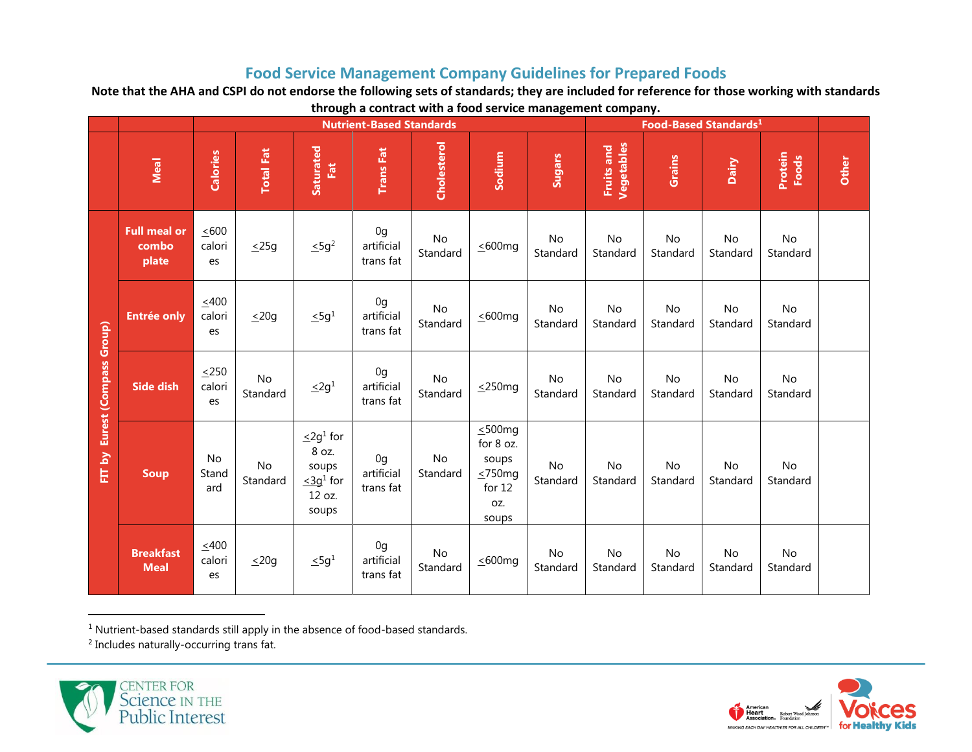## **Food Service Management Company Guidelines for Prepared Foods**

**Note that the AHA and CSPI do not endorse the following sets of standards; they are included for reference for those working with standards through a contract with a food service management company.**

|                               |                                       |                            |                       |                                                                                    | <b>Nutrient-Based Standards</b>           |                |                                                                               | Food-Based Standards <sup>1</sup> |                                 |                |                       |                  |       |
|-------------------------------|---------------------------------------|----------------------------|-----------------------|------------------------------------------------------------------------------------|-------------------------------------------|----------------|-------------------------------------------------------------------------------|-----------------------------------|---------------------------------|----------------|-----------------------|------------------|-------|
|                               | Meal                                  | Calories                   | <b>Total Fat</b>      | Saturated<br>Fat                                                                   | <b>Trans Fat</b>                          | Cholesterol    | Sodium                                                                        | Sugars                            | <b>Vegetables</b><br>Fruits and | Grains         | Dairy                 | Protein<br>Foods | Other |
|                               | <b>Full meal or</b><br>combo<br>plate | ~1600<br>calori<br>es      | $\leq$ 25g            | $\leq$ 5g <sup>2</sup>                                                             | 0 <sub>g</sub><br>artificial<br>trans fat | No<br>Standard | $\leq 600$ mg                                                                 | No<br>Standard                    | No<br>Standard                  | No<br>Standard | No<br>Standard        | No<br>Standard   |       |
|                               | <b>Entrée only</b>                    | $\leq 400$<br>calori<br>es | $\leq 20g$            | $\leq 5g^1$                                                                        | 0 <sub>g</sub><br>artificial<br>trans fat | No<br>Standard | $\leq 600$ mg                                                                 | No<br>Standard                    | No<br>Standard                  | No<br>Standard | No<br>Standard        | No<br>Standard   |       |
| FIT by Eurest (Compass Group) | <b>Side dish</b>                      | $\leq$ 250<br>calori<br>es | <b>No</b><br>Standard | $\leq 2g^1$                                                                        | 0 <sub>g</sub><br>artificial<br>trans fat | No<br>Standard | $\leq$ 250mg                                                                  | No<br>Standard                    | No<br>Standard                  | No<br>Standard | No<br>Standard        | No<br>Standard   |       |
|                               | <b>Soup</b>                           | No<br>Stand<br>ard         | No<br>Standard        | $\leq$ 2g <sup>1</sup> for<br>8 oz.<br>soups<br>$\leq 3g^1$ for<br>12 oz.<br>soups | 0 <sub>g</sub><br>artificial<br>trans fat | No<br>Standard | $\leq 500$ mg<br>for 8 oz.<br>soups<br>$\leq 750mg$<br>for 12<br>OZ.<br>soups | No<br>Standard                    | No<br>Standard                  | No<br>Standard | <b>No</b><br>Standard | No<br>Standard   |       |
|                               | <b>Breakfast</b><br><b>Meal</b>       | ~1400<br>calori<br>es      | $\leq 20g$            | $\leq 5g^1$                                                                        | 0 <sub>g</sub><br>artificial<br>trans fat | No<br>Standard | $\leq 600$ mg                                                                 | No<br>Standard                    | No<br>Standard                  | No<br>Standard | No<br>Standard        | No<br>Standard   |       |

<sup>1</sup> Nutrient-based standards still apply in the absence of food-based standards.

<sup>2</sup> Includes naturally-occurring trans fat.



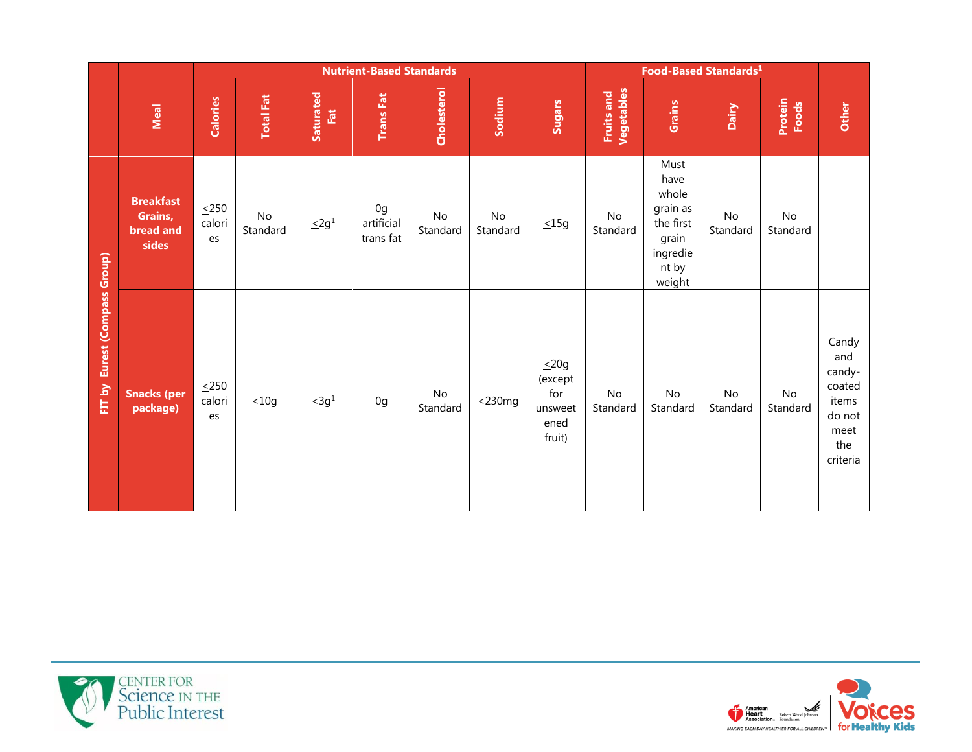|                                  |                                                          |                            |                  |                  | <b>Nutrient-Based Standards</b>           |                           |                | Food-Based Standards <sup>1</sup>                         |                          |                                                                                        |                           |                  |                                                                                |
|----------------------------------|----------------------------------------------------------|----------------------------|------------------|------------------|-------------------------------------------|---------------------------|----------------|-----------------------------------------------------------|--------------------------|----------------------------------------------------------------------------------------|---------------------------|------------------|--------------------------------------------------------------------------------|
|                                  | Meal                                                     | Calories                   | <b>Total Fat</b> | Saturated<br>Fat | <b>Trans Fat</b>                          | Cholesterol               | Sodium         | <b>Sugars</b>                                             | Vegetables<br>Fruits and | Grains                                                                                 | Dairy                     | Protein<br>Foods | Other                                                                          |
|                                  | <b>Breakfast</b><br>Grains,<br><b>bread and</b><br>sides | $\leq$ 250<br>calori<br>es | No<br>Standard   | $\leq 2g^1$      | 0 <sub>g</sub><br>artificial<br>trans fat | $\mathsf{No}$<br>Standard | No<br>Standard | $\leq 15g$                                                | No<br>Standard           | Must<br>have<br>whole<br>grain as<br>the first<br>grain<br>ingredie<br>nt by<br>weight | No<br>Standard            | No<br>Standard   |                                                                                |
| Eurest (Compass Group)<br>FIT by | <b>Snacks (per</b><br>package)                           | $\leq$ 250<br>calori<br>es | $\leq 10g$       | $\leq 3g^1$      | 0g                                        | $\mathsf{No}$<br>Standard | $\leq$ 230mg   | $\leq 20g$<br>(except<br>for<br>unsweet<br>ened<br>fruit) | No<br>Standard           | $\mathsf{No}$<br>Standard                                                              | $\mathsf{No}$<br>Standard | No<br>Standard   | Candy<br>and<br>candy-<br>coated<br>items<br>do not<br>meet<br>the<br>criteria |



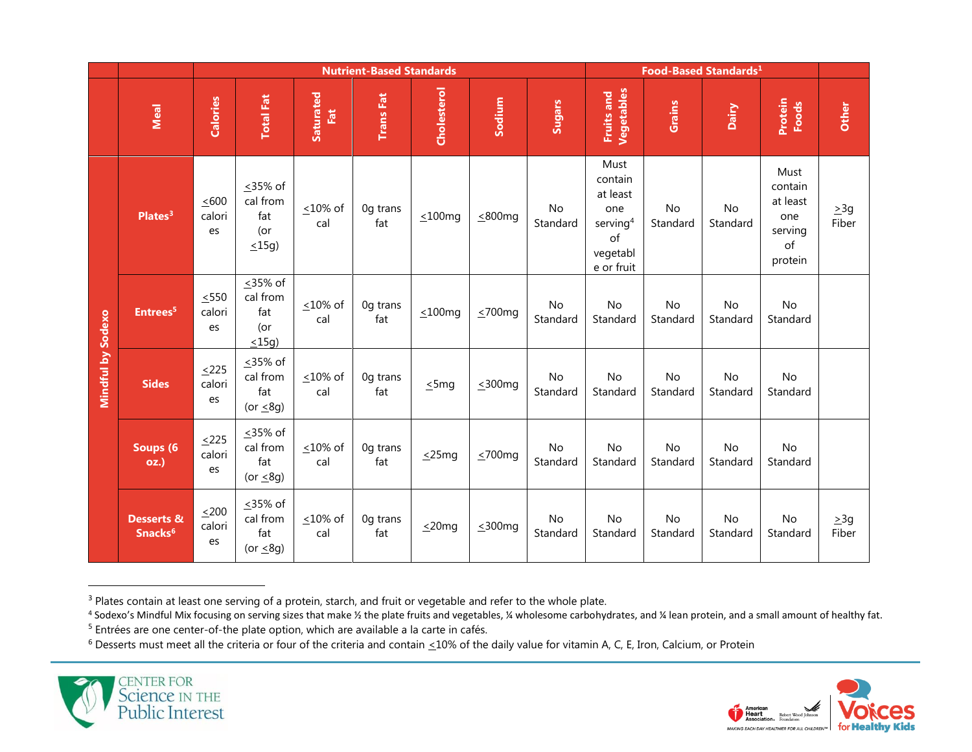|                   |                                              |                            |                                                    |                       | <b>Nutrient-Based Standards</b> |               |               | Food-Based Standards <sup>1</sup> |                                                                                   |                       |                       |                                                                |                    |
|-------------------|----------------------------------------------|----------------------------|----------------------------------------------------|-----------------------|---------------------------------|---------------|---------------|-----------------------------------|-----------------------------------------------------------------------------------|-----------------------|-----------------------|----------------------------------------------------------------|--------------------|
|                   | Meal                                         | <b>Calories</b>            | <b>Total Fat</b>                                   | Saturated<br>Fat      | <b>Trans Fat</b>                | Cholesterol   | Sodium        | <b>Sugars</b>                     | <b>Vegetables</b><br>Fruits and                                                   | Grains                | Dairy                 | Protein<br>Foods                                               | Other              |
|                   | Plates <sup>3</sup>                          | $\leq 600$<br>calori<br>es | ≤35% of<br>cal from<br>fat<br>(or<br>$\leq$ 15g)   | $\leq 10\%$ of<br>cal | Og trans<br>fat                 | $\leq 100$ mg | $\leq$ 800mg  | No<br>Standard                    | Must<br>contain<br>at least<br>one<br>serving $4$<br>of<br>vegetabl<br>e or fruit | No<br>Standard        | <b>No</b><br>Standard | Must<br>contain<br>at least<br>one<br>serving<br>of<br>protein | $\geq$ 3g<br>Fiber |
|                   | Entrees <sup>5</sup>                         | $\leq$ 550<br>calori<br>es | <35% of<br>cal from<br>fat<br>(or<br>$\leq$ 15g)   | $\leq 10\%$ of<br>cal | Og trans<br>fat                 | $\leq 100$ mg | $\leq 700$ mg | <b>No</b><br>Standard             | No<br>Standard                                                                    | <b>No</b><br>Standard | No<br>Standard        | <b>No</b><br>Standard                                          |                    |
| Mindful by Sodexo | <b>Sides</b>                                 | ~1225<br>calori<br>es      | $\leq$ 35% of<br>cal from<br>fat<br>(or $\leq$ 8g) | $<$ 10% of<br>cal     | Og trans<br>fat                 | $\leq$ 5mg    | $\leq$ 300mg  | No<br>Standard                    | No<br>Standard                                                                    | <b>No</b><br>Standard | No<br>Standard        | <b>No</b><br>Standard                                          |                    |
|                   | Soups (6<br><b>oz.)</b>                      | ~1225<br>calori<br>es      | ≤35% of<br>cal from<br>fat<br>(or $\leq$ 8g)       | $\leq 10\%$ of<br>cal | Og trans<br>fat                 | $\leq$ 25mg   | $\leq 700$ mg | No<br>Standard                    | <b>No</b><br>Standard                                                             | No<br>Standard        | No<br>Standard        | No<br>Standard                                                 |                    |
|                   | <b>Desserts &amp;</b><br>Snacks <sup>6</sup> | $\leq 200$<br>calori<br>es | ≤35% of<br>cal from<br>fat<br>(or $\leq$ 8g)       | $\leq 10\%$ of<br>cal | Og trans<br>fat                 | $\leq$ 20mg   | $\leq 300$ mg | <b>No</b><br>Standard             | <b>No</b><br>Standard                                                             | No<br>Standard        | No<br>Standard        | No<br>Standard                                                 | $\geq 3g$<br>Fiber |

<sup>&</sup>lt;sup>3</sup> Plates contain at least one serving of a protein, starch, and fruit or vegetable and refer to the whole plate.

 $6$  Desserts must meet all the criteria or four of the criteria and contain  $\leq$ 10% of the daily value for vitamin A, C, E, Iron, Calcium, or Protein





<sup>4</sup> Sodexo's Mindful Mix focusing on serving sizes that make ½ the plate fruits and vegetables, ¼ wholesome carbohydrates, and ¼ lean protein, and a small amount of healthy fat.

<sup>&</sup>lt;sup>5</sup> Entrées are one center-of-the plate option, which are available a la carte in cafés.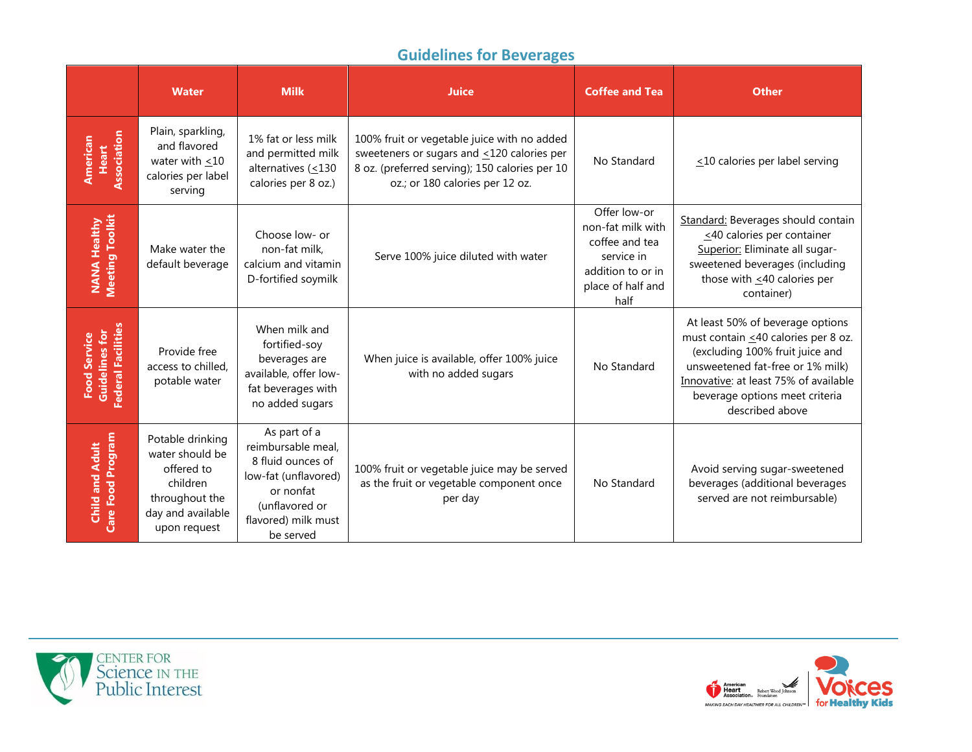# **Guidelines for Beverages**

|                                                                    | <b>Water</b>                                                                                                         | <b>Milk</b>                                                                                                                                        | <b>Juice</b>                                                                                                                                                                         | <b>Coffee and Tea</b>                                                                                               | <b>Other</b>                                                                                                                                                                                                                                 |
|--------------------------------------------------------------------|----------------------------------------------------------------------------------------------------------------------|----------------------------------------------------------------------------------------------------------------------------------------------------|--------------------------------------------------------------------------------------------------------------------------------------------------------------------------------------|---------------------------------------------------------------------------------------------------------------------|----------------------------------------------------------------------------------------------------------------------------------------------------------------------------------------------------------------------------------------------|
| Association<br>American<br>Heart                                   | Plain, sparkling,<br>and flavored<br>water with $\leq 10$<br>calories per label<br>serving                           | 1% fat or less milk<br>and permitted milk<br>alternatives $( \leq 130$<br>calories per 8 oz.)                                                      | 100% fruit or vegetable juice with no added<br>sweeteners or sugars and $\leq$ 120 calories per<br>8 oz. (preferred serving); 150 calories per 10<br>oz.; or 180 calories per 12 oz. | No Standard                                                                                                         | $\leq$ 10 calories per label serving                                                                                                                                                                                                         |
| <b>Meeting Toolkit</b><br><b>NANA Healthy</b>                      | Make water the<br>default beverage                                                                                   | Choose low- or<br>non-fat milk,<br>calcium and vitamin<br>D-fortified soymilk                                                                      | Serve 100% juice diluted with water                                                                                                                                                  | Offer low-or<br>non-fat milk with<br>coffee and tea<br>service in<br>addition to or in<br>place of half and<br>half | Standard: Beverages should contain<br><40 calories per container<br>Superior: Eliminate all sugar-<br>sweetened beverages (including<br>those with $\leq$ 40 calories per<br>container)                                                      |
| <b>Federal Facilities</b><br><b>Food Service</b><br>Guidelines for | Provide free<br>access to chilled.<br>potable water                                                                  | When milk and<br>fortified-soy<br>beverages are<br>available, offer low-<br>fat beverages with<br>no added sugars                                  | When juice is available, offer 100% juice<br>with no added sugars                                                                                                                    | No Standard                                                                                                         | At least 50% of beverage options<br>must contain <40 calories per 8 oz.<br>(excluding 100% fruit juice and<br>unsweetened fat-free or 1% milk)<br>Innovative: at least 75% of available<br>beverage options meet criteria<br>described above |
| Care Food Program<br><b>Child and Adult</b>                        | Potable drinking<br>water should be<br>offered to<br>children<br>throughout the<br>day and available<br>upon request | As part of a<br>reimbursable meal,<br>8 fluid ounces of<br>low-fat (unflavored)<br>or nonfat<br>(unflavored or<br>flavored) milk must<br>be served | 100% fruit or vegetable juice may be served<br>as the fruit or vegetable component once<br>per day                                                                                   | No Standard                                                                                                         | Avoid serving sugar-sweetened<br>beverages (additional beverages<br>served are not reimbursable)                                                                                                                                             |